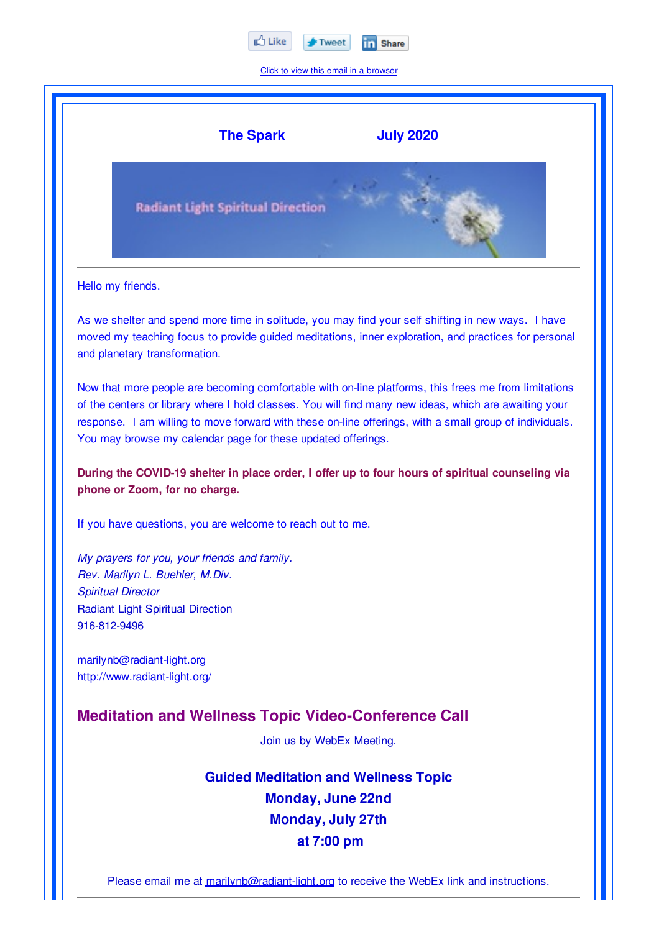

Click to view this email in a browser



Please email me at marilynb@radiant-light.org to receive the WebEx link and instructions.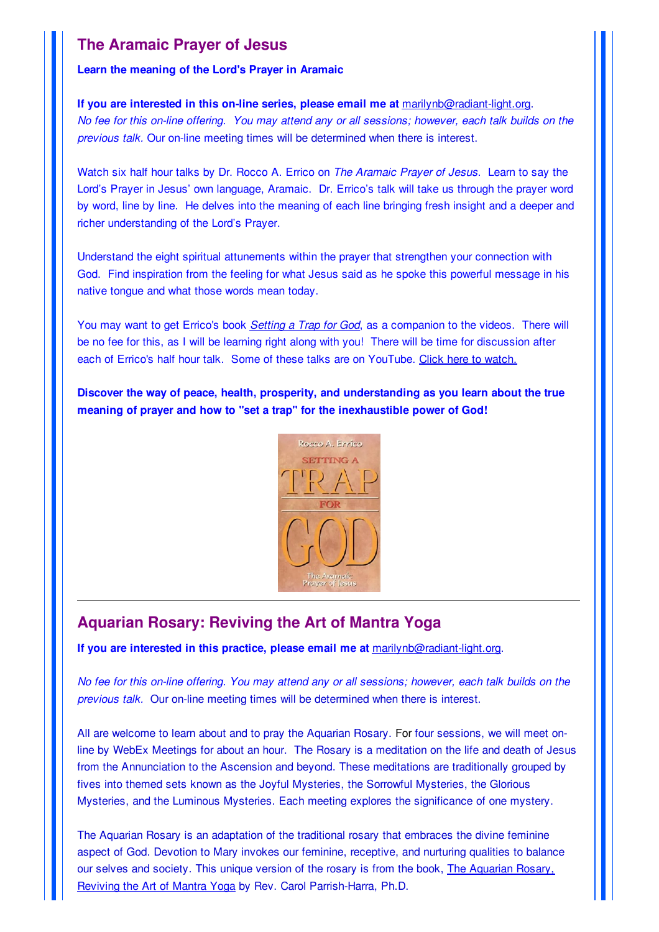# **The Aramaic Prayer of Jesus**

#### **Learn the meaning of the Lord's Prayer in Aramaic**

**If you are interested in this on-line series, please email me at** marilynb@radiant-light.org. No fee for this on-line offering. You may attend any or all sessions; however, each talk builds on the *previous talk.* Our on-line meeting times will be determined when there is interest.

Watch six half hour talks by Dr. Rocco A. Errico on *The Aramaic Prayer of Jesus*. Learn to say the Lord's Prayer in Jesus' own language, Aramaic. Dr. Errico's talk will take us through the prayer word by word, line by line. He delves into the meaning of each line bringing fresh insight and a deeper and richer understanding of the Lord's Prayer.

Understand the eight spiritual attunements within the prayer that strengthen your connection with God. Find inspiration from the feeling for what Jesus said as he spoke this powerful message in his native tongue and what those words mean today.

You may want to get Errico's book *Setting a Trap for God*, as a companion to the videos. There will be no fee for this, as I will be learning right along with you! There will be time for discussion after each of Errico's half hour talk. Some of these talks are on YouTube. Click here to watch.

**Discover the way of peace, health, prosperity, and understanding as you learn about the true meaning of prayer and how to "set a trap" for the inexhaustible power of God!**



# **Aquarian Rosary: Reviving the Art of Mantra Yoga**

**If you are interested in this practice, please email me at** marilynb@radiant-light.org.

No fee for this on-line offering. You may attend any or all sessions; however, each talk builds on the *previous talk.* Our on-line meeting times will be determined when there is interest.

All are welcome to learn about and to pray the Aquarian Rosary. For four sessions, we will meet online by WebEx Meetings for about an hour. The Rosary is a meditation on the life and death of Jesus from the Annunciation to the Ascension and beyond. These meditations are traditionally grouped by fives into themed sets known as the Joyful Mysteries, the Sorrowful Mysteries, the Glorious Mysteries, and the Luminous Mysteries. Each meeting explores the significance of one mystery.

The Aquarian Rosary is an adaptation of the traditional rosary that embraces the divine feminine aspect of God. Devotion to Mary invokes our feminine, receptive, and nurturing qualities to balance our selves and society. This unique version of the rosary is from the book, The Aquarian Rosary, Reviving the Art of Mantra Yoga by Rev. Carol Parrish-Harra, Ph.D.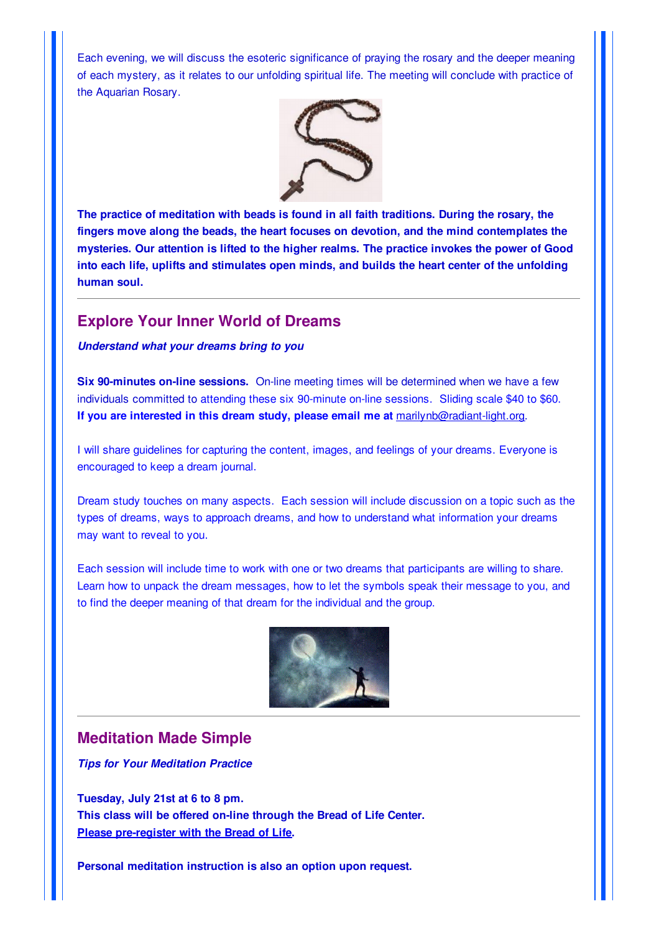Each evening, we will discuss the esoteric significance of praying the rosary and the deeper meaning of each mystery, as it relates to our unfolding spiritual life. The meeting will conclude with practice of the Aquarian Rosary.



**The practice of meditation with beads is found in all faith traditions. During the rosary, the fingers move along the beads, the heart focuses on devotion, and the mind contemplates the mysteries. Our attention is lifted to the higher realms. The practice invokes the power of Good into each life, uplifts and stimulates open minds, and builds the heart center of the unfolding human soul.**

## **Explore Your Inner World of Dreams**

#### *Understand what your dreams bring to you*

**Six 90-minutes on-line sessions.** On-line meeting times will be determined when we have a few individuals committed to attending these six 90-minute on-line sessions. Sliding scale \$40 to \$60. **If you are interested in this dream study, please email me at** marilynb@radiant-light.org.

I will share guidelines for capturing the content, images, and feelings of your dreams. Everyone is encouraged to keep a dream journal.

Dream study touches on many aspects. Each session will include discussion on a topic such as the types of dreams, ways to approach dreams, and how to understand what information your dreams may want to reveal to you.

Each session will include time to work with one or two dreams that participants are willing to share. Learn how to unpack the dream messages, how to let the symbols speak their message to you, and to find the deeper meaning of that dream for the individual and the group.



## **Meditation Made Simple**

*Tips for Your Meditation Practice*

**Tuesday, July 21st at 6 to 8 pm. This class will be offered on-line through the Bread of Life Center. Please pre-register with the Bread of Life.**

**Personal meditation instruction is also an option upon request.**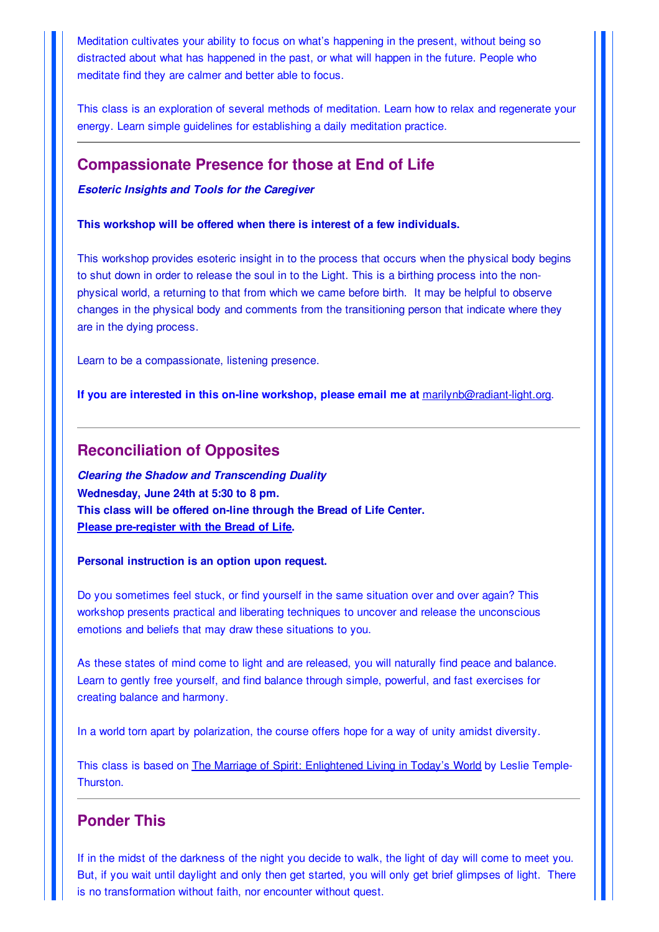Meditation cultivates your ability to focus on what's happening in the present, without being so distracted about what has happened in the past, or what will happen in the future. People who meditate find they are calmer and better able to focus.

This class is an exploration of several methods of meditation. Learn how to relax and regenerate your energy. Learn simple guidelines for establishing a daily meditation practice.

### **Compassionate Presence for those at End of Life**

*Esoteric Insights and Tools for the Caregiver*

#### **This workshop will be offered when there is interest of a few individuals.**

This workshop provides esoteric insight in to the process that occurs when the physical body begins to shut down in order to release the soul in to the Light. This is a birthing process into the nonphysical world, a returning to that from which we came before birth. It may be helpful to observe changes in the physical body and comments from the transitioning person that indicate where they are in the dying process.

Learn to be a compassionate, listening presence.

**If you are interested in this on-line workshop, please email me at** marilynb@radiant-light.org.

### **Reconciliation of Opposites**

*Clearing the Shadow and Transcending Duality* **Wednesday, June 24th at 5:30 to 8 pm. This class will be offered on-line through the Bread of Life Center. Please pre-register with the Bread of Life.**

**Personal instruction is an option upon request.**

Do you sometimes feel stuck, or find yourself in the same situation over and over again? This workshop presents practical and liberating techniques to uncover and release the unconscious emotions and beliefs that may draw these situations to you.

As these states of mind come to light and are released, you will naturally find peace and balance. Learn to gently free yourself, and find balance through simple, powerful, and fast exercises for creating balance and harmony.

In a world torn apart by polarization, the course offers hope for a way of unity amidst diversity.

This class is based on The Marriage of Spirit: Enlightened Living in Today's World by Leslie Temple-Thurston.

# **Ponder This**

If in the midst of the darkness of the night you decide to walk, the light of day will come to meet you. But, if you wait until daylight and only then get started, you will only get brief glimpses of light. There is no transformation without faith, nor encounter without quest.